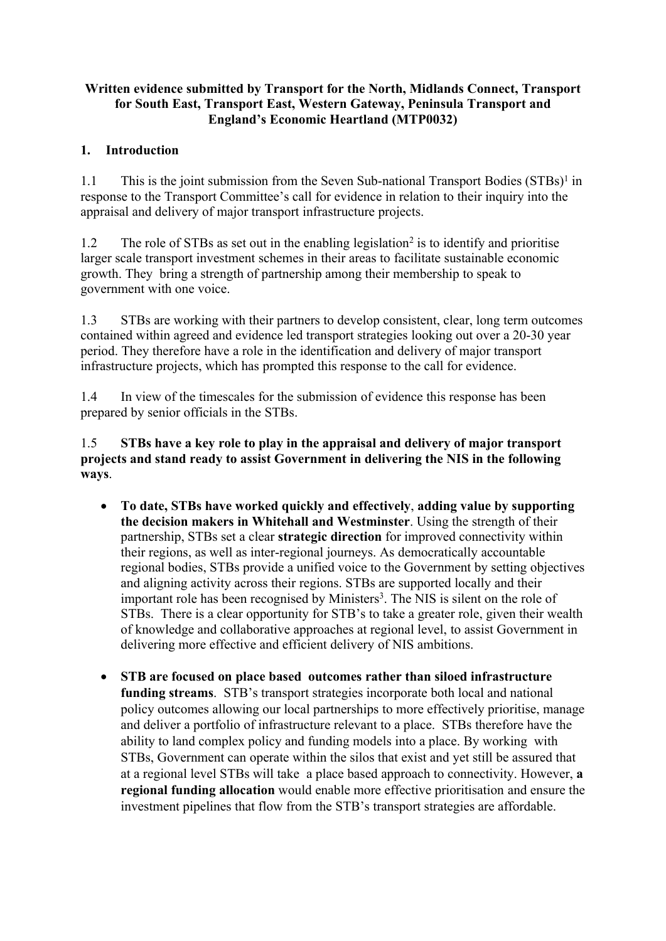### **Written evidence submitted by Transport for the North, Midlands Connect, Transport for South East, Transport East, Western Gateway, Peninsula Transport and England's Economic Heartland (MTP0032)**

### **1. Introduction**

1.1 This is the joint submission from the Seven Sub-national Transport Bodies (STBs)<sup>1</sup> in response to the Transport Committee's call for evidence in relation to their inquiry into the appraisal and delivery of major transport infrastructure projects.

1.2 The role of STBs as set out in the enabling legislation<sup>2</sup> is to identify and prioritise larger scale transport investment schemes in their areas to facilitate sustainable economic growth. They bring a strength of partnership among their membership to speak to government with one voice.

1.3 STBs are working with their partners to develop consistent, clear, long term outcomes contained within agreed and evidence led transport strategies looking out over a 20-30 year period. They therefore have a role in the identification and delivery of major transport infrastructure projects, which has prompted this response to the call for evidence.

1.4 In view of the timescales for the submission of evidence this response has been prepared by senior officials in the STBs.

1.5 **STBs have a key role to play in the appraisal and delivery of major transport projects and stand ready to assist Government in delivering the NIS in the following ways**.

- **To date, STBs have worked quickly and effectively**, **adding value by supporting the decision makers in Whitehall and Westminster**. Using the strength of their partnership, STBs set a clear **strategic direction** for improved connectivity within their regions, as well as inter-regional journeys. As democratically accountable regional bodies, STBs provide a unified voice to the Government by setting objectives and aligning activity across their regions. STBs are supported locally and their important role has been recognised by Ministers<sup>3</sup>. The NIS is silent on the role of STBs. There is a clear opportunity for STB's to take a greater role, given their wealth of knowledge and collaborative approaches at regional level, to assist Government in delivering more effective and efficient delivery of NIS ambitions.
- **STB are focused on place based outcomes rather than siloed infrastructure funding streams**. STB's transport strategies incorporate both local and national policy outcomes allowing our local partnerships to more effectively prioritise, manage and deliver a portfolio of infrastructure relevant to a place. STBs therefore have the ability to land complex policy and funding models into a place. By working with STBs, Government can operate within the silos that exist and yet still be assured that at a regional level STBs will take a place based approach to connectivity. However, **a regional funding allocation** would enable more effective prioritisation and ensure the investment pipelines that flow from the STB's transport strategies are affordable.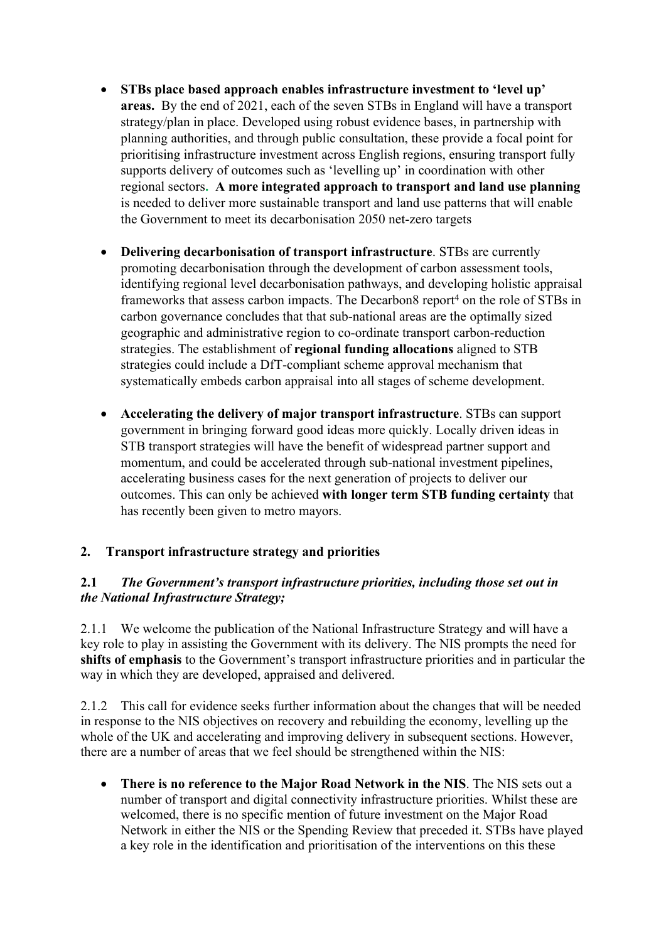- **STBs place based approach enables infrastructure investment to 'level up' areas.** By the end of 2021, each of the seven STBs in England will have a transport strategy/plan in place. Developed using robust evidence bases, in partnership with planning authorities, and through public consultation, these provide a focal point for prioritising infrastructure investment across English regions, ensuring transport fully supports delivery of outcomes such as 'levelling up' in coordination with other regional sectors**. A more integrated approach to transport and land use planning** is needed to deliver more sustainable transport and land use patterns that will enable the Government to meet its decarbonisation 2050 net-zero targets
- **Delivering decarbonisation of transport infrastructure**. STBs are currently promoting decarbonisation through the development of carbon assessment tools, identifying regional level decarbonisation pathways, and developing holistic appraisal frameworks that assess carbon impacts. The Decarbon8 report<sup>4</sup> on the role of STBs in carbon governance concludes that that sub-national areas are the optimally sized geographic and administrative region to co-ordinate transport carbon-reduction strategies. The establishment of **regional funding allocations** aligned to STB strategies could include a DfT-compliant scheme approval mechanism that systematically embeds carbon appraisal into all stages of scheme development.
- **Accelerating the delivery of major transport infrastructure**. STBs can support government in bringing forward good ideas more quickly. Locally driven ideas in STB transport strategies will have the benefit of widespread partner support and momentum, and could be accelerated through sub-national investment pipelines, accelerating business cases for the next generation of projects to deliver our outcomes. This can only be achieved **with longer term STB funding certainty** that has recently been given to metro mayors.

# **2. Transport infrastructure strategy and priorities**

### **2.1** *The Government's transport infrastructure priorities, including those set out in the National Infrastructure Strategy;*

2.1.1 We welcome the publication of the National Infrastructure Strategy and will have a key role to play in assisting the Government with its delivery. The NIS prompts the need for **shifts of emphasis** to the Government's transport infrastructure priorities and in particular the way in which they are developed, appraised and delivered.

2.1.2 This call for evidence seeks further information about the changes that will be needed in response to the NIS objectives on recovery and rebuilding the economy, levelling up the whole of the UK and accelerating and improving delivery in subsequent sections. However, there are a number of areas that we feel should be strengthened within the NIS:

 **There is no reference to the Major Road Network in the NIS**. The NIS sets out a number of transport and digital connectivity infrastructure priorities. Whilst these are welcomed, there is no specific mention of future investment on the Major Road Network in either the NIS or the Spending Review that preceded it. STBs have played a key role in the identification and prioritisation of the interventions on this these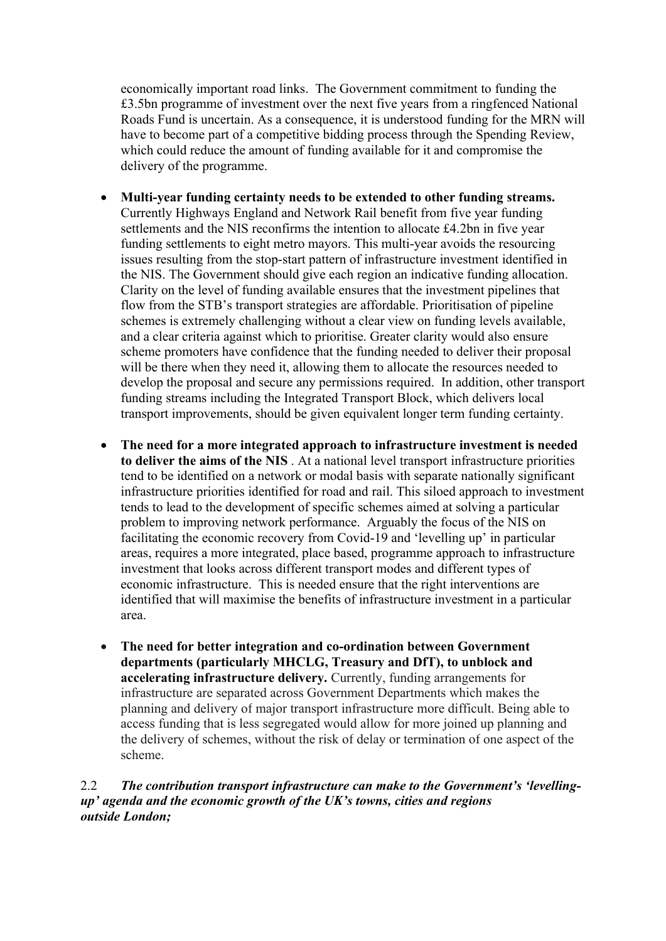economically important road links. The Government commitment to funding the £3.5bn programme of investment over the next five years from a ringfenced National Roads Fund is uncertain. As a consequence, it is understood funding for the MRN will have to become part of a competitive bidding process through the Spending Review, which could reduce the amount of funding available for it and compromise the delivery of the programme.

- **Multi-year funding certainty needs to be extended to other funding streams.** Currently Highways England and Network Rail benefit from five year funding settlements and the NIS reconfirms the intention to allocate £4.2bn in five year funding settlements to eight metro mayors. This multi-year avoids the resourcing issues resulting from the stop-start pattern of infrastructure investment identified in the NIS. The Government should give each region an indicative funding allocation. Clarity on the level of funding available ensures that the investment pipelines that flow from the STB's transport strategies are affordable. Prioritisation of pipeline schemes is extremely challenging without a clear view on funding levels available, and a clear criteria against which to prioritise. Greater clarity would also ensure scheme promoters have confidence that the funding needed to deliver their proposal will be there when they need it, allowing them to allocate the resources needed to develop the proposal and secure any permissions required. In addition, other transport funding streams including the Integrated Transport Block, which delivers local transport improvements, should be given equivalent longer term funding certainty.
- **The need for a more integrated approach to infrastructure investment is needed to deliver the aims of the NIS** . At a national level transport infrastructure priorities tend to be identified on a network or modal basis with separate nationally significant infrastructure priorities identified for road and rail. This siloed approach to investment tends to lead to the development of specific schemes aimed at solving a particular problem to improving network performance. Arguably the focus of the NIS on facilitating the economic recovery from Covid-19 and 'levelling up' in particular areas, requires a more integrated, place based, programme approach to infrastructure investment that looks across different transport modes and different types of economic infrastructure. This is needed ensure that the right interventions are identified that will maximise the benefits of infrastructure investment in a particular area.
- **The need for better integration and co-ordination between Government departments (particularly MHCLG, Treasury and DfT), to unblock and accelerating infrastructure delivery.** Currently, funding arrangements for infrastructure are separated across Government Departments which makes the planning and delivery of major transport infrastructure more difficult. Being able to access funding that is less segregated would allow for more joined up planning and the delivery of schemes, without the risk of delay or termination of one aspect of the scheme.

### 2.2 *The contribution transport infrastructure can make to the Government's 'levellingup' agenda and the economic growth of the UK's towns, cities and regions outside London;*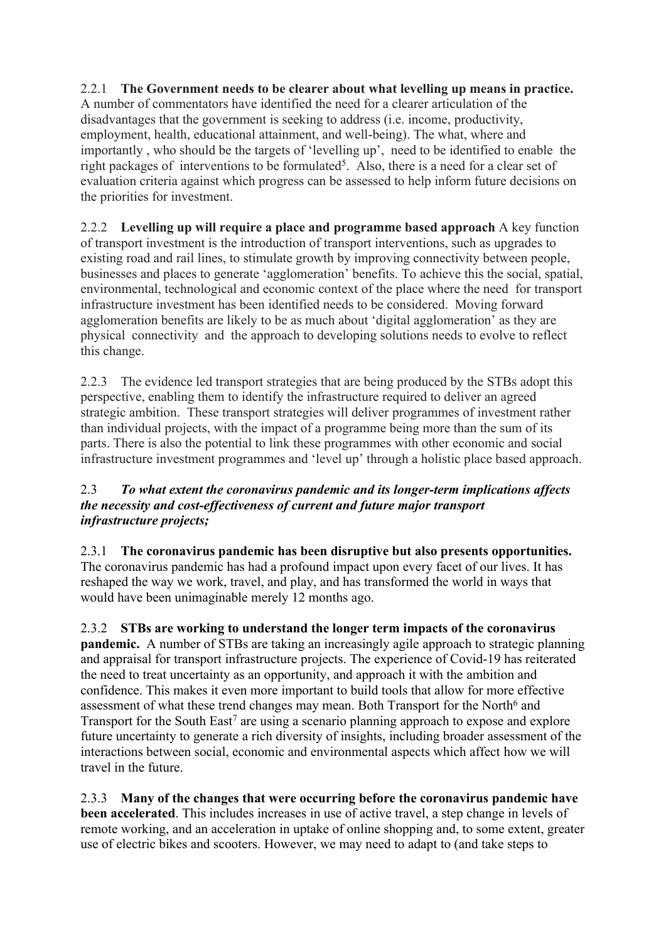#### 2.2.1 **The Government needs to be clearer about what levelling up means in practice.** A number of commentators have identified the need for a clearer articulation of the disadvantages that the government is seeking to address (i.e. income, productivity, employment, health, educational attainment, and well-being). The what, where and importantly , who should be the targets of 'levelling up', need to be identified to enable the right packages of interventions to be formulated<sup>5</sup>. Also, there is a need for a clear set of evaluation criteria against which progress can be assessed to help inform future decisions on the priorities for investment.

2.2.2 **Levelling up will require a place and programme based approach** A key function of transport investment is the introduction of transport interventions, such as upgrades to existing road and rail lines, to stimulate growth by improving connectivity between people, businesses and places to generate 'agglomeration' benefits. To achieve this the social, spatial, environmental, technological and economic context of the place where the need for transport infrastructure investment has been identified needs to be considered. Moving forward agglomeration benefits are likely to be as much about 'digital agglomeration' as they are physical connectivity and the approach to developing solutions needs to evolve to reflect this change.

2.2.3 The evidence led transport strategies that are being produced by the STBs adopt this perspective, enabling them to identify the infrastructure required to deliver an agreed strategic ambition. These transport strategies will deliver programmes of investment rather than individual projects, with the impact of a programme being more than the sum of its parts. There is also the potential to link these programmes with other economic and social infrastructure investment programmes and 'level up' through a holistic place based approach.

### 2.3 *To what extent the coronavirus pandemic and its longer-term implications affects the necessity and cost-effectiveness of current and future major transport infrastructure projects;*

2.3.1 **The coronavirus pandemic has been disruptive but also presents opportunities.** The coronavirus pandemic has had a profound impact upon every facet of our lives. It has reshaped the way we work, travel, and play, and has transformed the world in ways that would have been unimaginable merely 12 months ago.

2.3.2 **STBs are working to understand the longer term impacts of the coronavirus pandemic.** A number of STBs are taking an increasingly agile approach to strategic planning and appraisal for transport infrastructure projects. The experience of Covid-19 has reiterated the need to treat uncertainty as an opportunity, and approach it with the ambition and confidence. This makes it even more important to build tools that allow for more effective assessment of what these trend changes may mean. Both Transport for the North<sup>6</sup> and Transport for the South East<sup>7</sup> are using a scenario planning approach to expose and explore future uncertainty to generate a rich diversity of insights, including broader assessment of the interactions between social, economic and environmental aspects which affect how we will travel in the future.

2.3.3 **Many of the changes that were occurring before the coronavirus pandemic have been accelerated**. This includes increases in use of active travel, a step change in levels of remote working, and an acceleration in uptake of online shopping and, to some extent, greater use of electric bikes and scooters. However, we may need to adapt to (and take steps to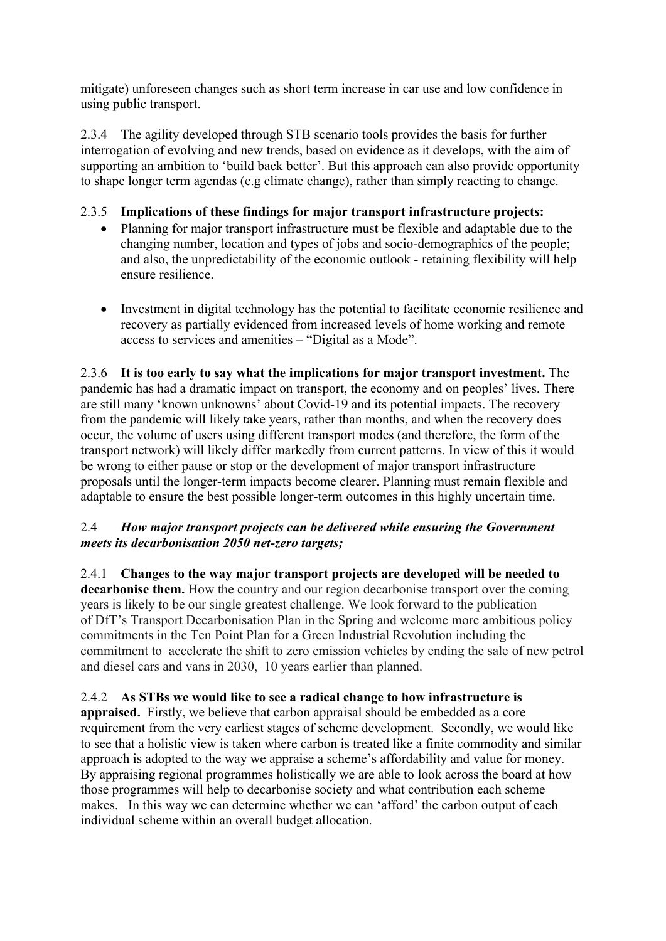mitigate) unforeseen changes such as short term increase in car use and low confidence in using public transport.

2.3.4 The agility developed through STB scenario tools provides the basis for further interrogation of evolving and new trends, based on evidence as it develops, with the aim of supporting an ambition to 'build back better'. But this approach can also provide opportunity to shape longer term agendas (e.g climate change), rather than simply reacting to change.

# 2.3.5 **Implications of these findings for major transport infrastructure projects:**

- Planning for major transport infrastructure must be flexible and adaptable due to the changing number, location and types of jobs and socio-demographics of the people; and also, the unpredictability of the economic outlook - retaining flexibility will help ensure resilience.
- Investment in digital technology has the potential to facilitate economic resilience and recovery as partially evidenced from increased levels of home working and remote access to services and amenities – "Digital as a Mode".

2.3.6 **It is too early to say what the implications for major transport investment.** The pandemic has had a dramatic impact on transport, the economy and on peoples' lives. There are still many 'known unknowns' about Covid-19 and its potential impacts. The recovery from the pandemic will likely take years, rather than months, and when the recovery does occur, the volume of users using different transport modes (and therefore, the form of the transport network) will likely differ markedly from current patterns. In view of this it would be wrong to either pause or stop or the development of major transport infrastructure proposals until the longer-term impacts become clearer. Planning must remain flexible and adaptable to ensure the best possible longer-term outcomes in this highly uncertain time.

### 2.4 *How major transport projects can be delivered while ensuring the Government meets its decarbonisation 2050 net-zero targets;*

2.4.1 **Changes to the way major transport projects are developed will be needed to decarbonise them.** How the country and our region decarbonise transport over the coming years is likely to be our single greatest challenge. We look forward to the publication of DfT's Transport Decarbonisation Plan in the Spring and welcome more ambitious policy commitments in the Ten Point Plan for a Green Industrial Revolution including the commitment to accelerate the shift to zero emission vehicles by ending the sale of new petrol and diesel cars and vans in 2030, 10 years earlier than planned.

# 2.4.2 **As STBs we would like to see a radical change to how infrastructure is**

**appraised.** Firstly, we believe that carbon appraisal should be embedded as a core requirement from the very earliest stages of scheme development. Secondly, we would like to see that a holistic view is taken where carbon is treated like a finite commodity and similar approach is adopted to the way we appraise a scheme's affordability and value for money. By appraising regional programmes holistically we are able to look across the board at how those programmes will help to decarbonise society and what contribution each scheme makes. In this way we can determine whether we can 'afford' the carbon output of each individual scheme within an overall budget allocation.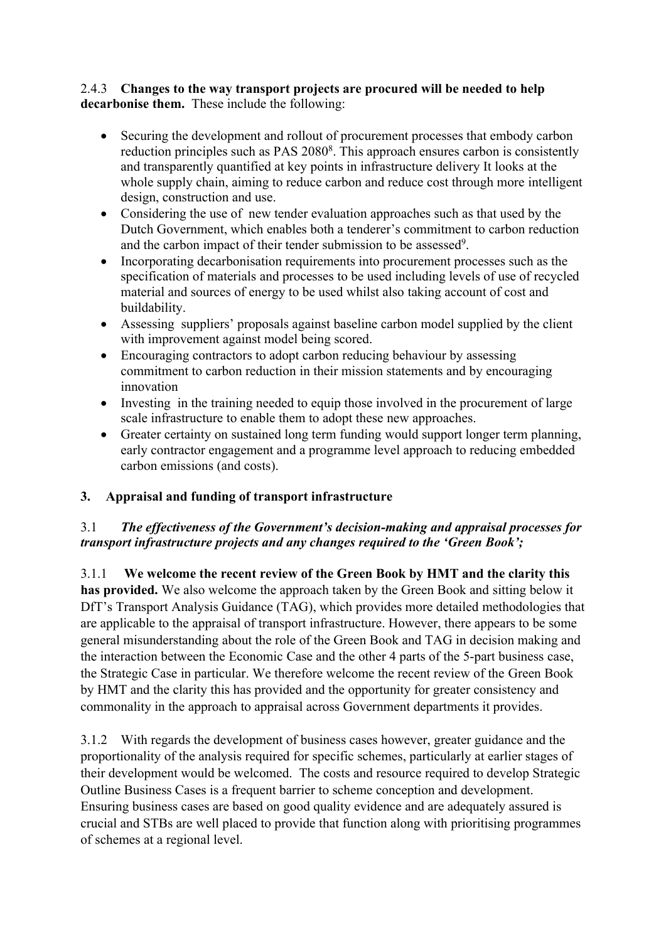#### 2.4.3 **Changes to the way transport projects are procured will be needed to help decarbonise them.** These include the following:

- Securing the development and rollout of procurement processes that embody carbon reduction principles such as PAS 2080<sup>8</sup>. This approach ensures carbon is consistently and transparently quantified at key points in infrastructure delivery It looks at the whole supply chain, aiming to reduce carbon and reduce cost through more intelligent design, construction and use.
- Considering the use of new tender evaluation approaches such as that used by the Dutch Government, which enables both a tenderer's commitment to carbon reduction and the carbon impact of their tender submission to be assessed<sup>9</sup>.
- Incorporating decarbonisation requirements into procurement processes such as the specification of materials and processes to be used including levels of use of recycled material and sources of energy to be used whilst also taking account of cost and buildability.
- Assessing suppliers' proposals against baseline carbon model supplied by the client with improvement against model being scored.
- Encouraging contractors to adopt carbon reducing behaviour by assessing commitment to carbon reduction in their mission statements and by encouraging innovation
- Investing in the training needed to equip those involved in the procurement of large scale infrastructure to enable them to adopt these new approaches.
- Greater certainty on sustained long term funding would support longer term planning, early contractor engagement and a programme level approach to reducing embedded carbon emissions (and costs).

# **3. Appraisal and funding of transport infrastructure**

# 3.1 *The effectiveness of the Government's decision-making and appraisal processes for transport infrastructure projects and any changes required to the 'Green Book';*

3.1.1 **We welcome the recent review of the Green Book by HMT and the clarity this has provided.** We also welcome the approach taken by the Green Book and sitting below it DfT's Transport Analysis Guidance (TAG), which provides more detailed methodologies that are applicable to the appraisal of transport infrastructure. However, there appears to be some general misunderstanding about the role of the Green Book and TAG in decision making and the interaction between the Economic Case and the other 4 parts of the 5-part business case, the Strategic Case in particular. We therefore welcome the recent review of the Green Book by HMT and the clarity this has provided and the opportunity for greater consistency and commonality in the approach to appraisal across Government departments it provides.

3.1.2 With regards the development of business cases however, greater guidance and the proportionality of the analysis required for specific schemes, particularly at earlier stages of their development would be welcomed. The costs and resource required to develop Strategic Outline Business Cases is a frequent barrier to scheme conception and development. Ensuring business cases are based on good quality evidence and are adequately assured is crucial and STBs are well placed to provide that function along with prioritising programmes of schemes at a regional level.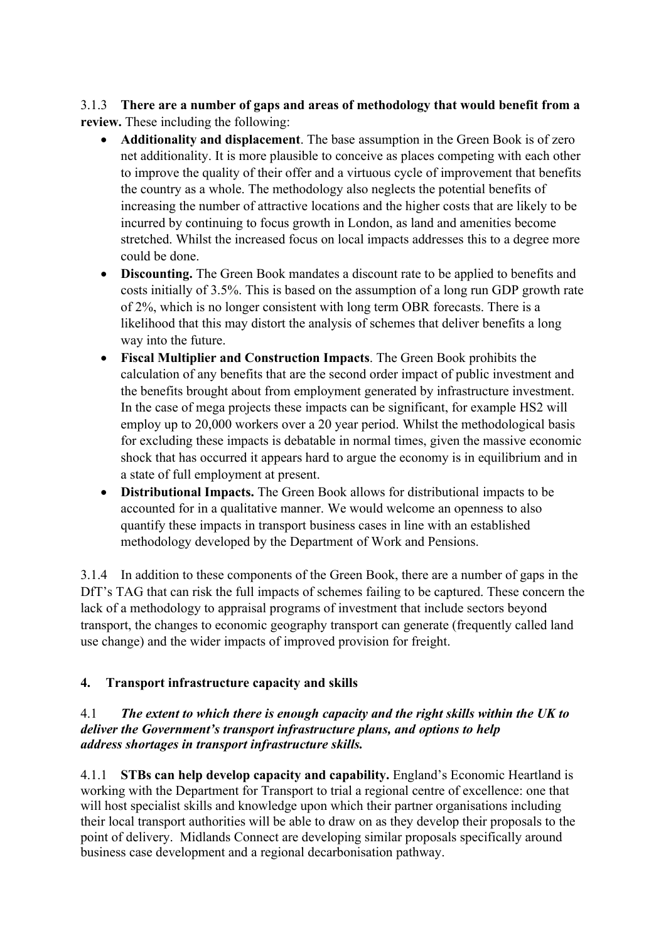3.1.3 **There are a number of gaps and areas of methodology that would benefit from a review.** These including the following:

- **Additionality and displacement**. The base assumption in the Green Book is of zero net additionality. It is more plausible to conceive as places competing with each other to improve the quality of their offer and a virtuous cycle of improvement that benefits the country as a whole. The methodology also neglects the potential benefits of increasing the number of attractive locations and the higher costs that are likely to be incurred by continuing to focus growth in London, as land and amenities become stretched. Whilst the increased focus on local impacts addresses this to a degree more could be done.
- **Discounting.** The Green Book mandates a discount rate to be applied to benefits and costs initially of 3.5%. This is based on the assumption of a long run GDP growth rate of 2%, which is no longer consistent with long term OBR forecasts. There is a likelihood that this may distort the analysis of schemes that deliver benefits a long way into the future.
- **Fiscal Multiplier and Construction Impacts**. The Green Book prohibits the calculation of any benefits that are the second order impact of public investment and the benefits brought about from employment generated by infrastructure investment. In the case of mega projects these impacts can be significant, for example HS2 will employ up to 20,000 workers over a 20 year period. Whilst the methodological basis for excluding these impacts is debatable in normal times, given the massive economic shock that has occurred it appears hard to argue the economy is in equilibrium and in a state of full employment at present.
- **Distributional Impacts.** The Green Book allows for distributional impacts to be accounted for in a qualitative manner. We would welcome an openness to also quantify these impacts in transport business cases in line with an established methodology developed by the Department of Work and Pensions.

3.1.4 In addition to these components of the Green Book, there are a number of gaps in the DfT's TAG that can risk the full impacts of schemes failing to be captured. These concern the lack of a methodology to appraisal programs of investment that include sectors beyond transport, the changes to economic geography transport can generate (frequently called land use change) and the wider impacts of improved provision for freight.

# **4. Transport infrastructure capacity and skills**

### 4.1 *The extent to which there is enough capacity and the right skills within the UK to deliver the Government's transport infrastructure plans, and options to help address shortages in transport infrastructure skills.*

4.1.1 **STBs can help develop capacity and capability.** England's Economic Heartland is working with the Department for Transport to trial a regional centre of excellence: one that will host specialist skills and knowledge upon which their partner organisations including their local transport authorities will be able to draw on as they develop their proposals to the point of delivery. Midlands Connect are developing similar proposals specifically around business case development and a regional decarbonisation pathway.